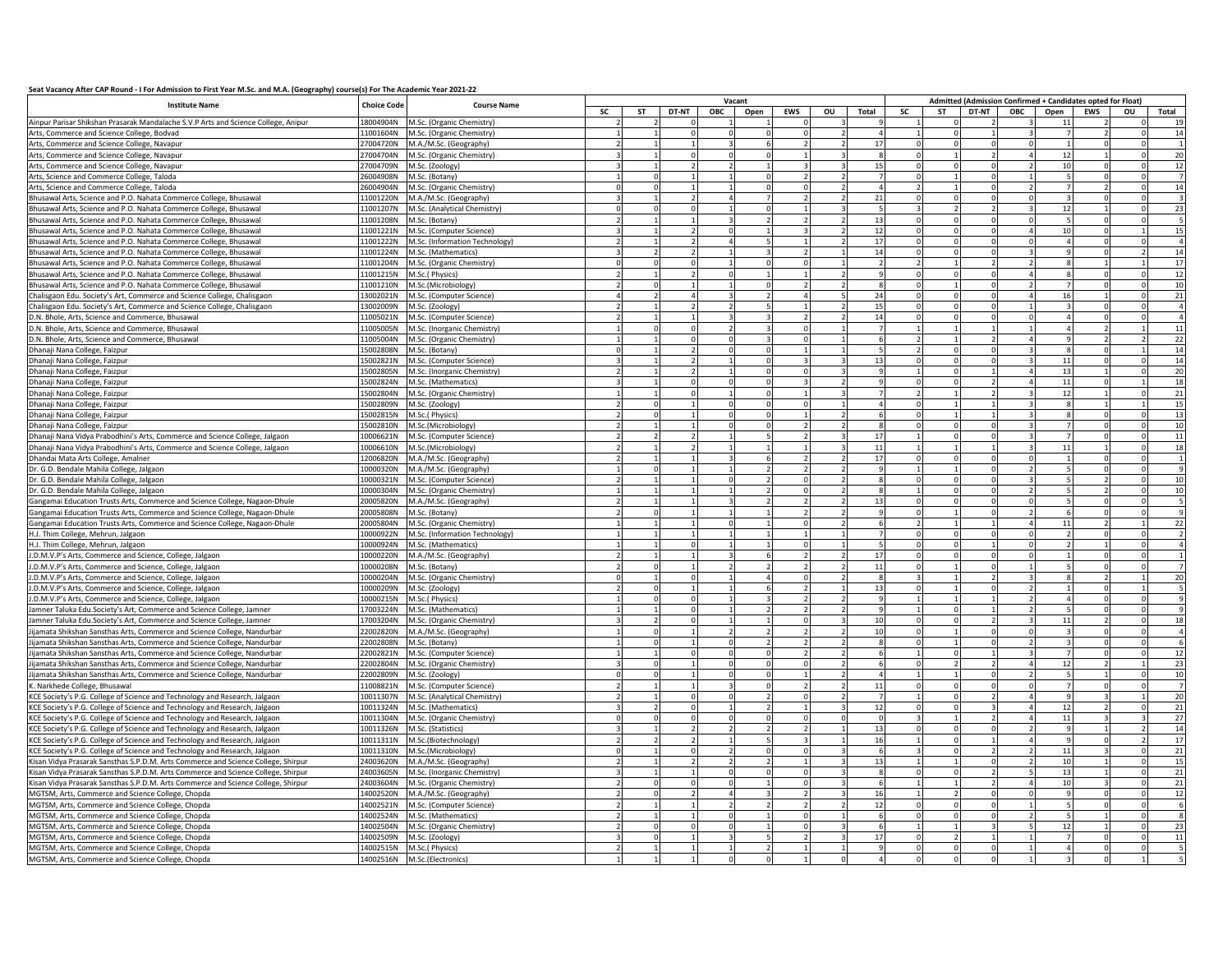| Seat Vacancy After CAP Round - I For Admission to First Year M.Sc. and M.A. (Geography) course(s) For The Academic Year 2021-22 |  |
|---------------------------------------------------------------------------------------------------------------------------------|--|
|---------------------------------------------------------------------------------------------------------------------------------|--|

| <b>Institute Name</b><br><b>Choice Code</b><br><b>Course Name</b>                  |           |                                |           |    |          |     | Vacant |                |    |                |          |           |       |     |      | Admitted (Admission Confirmed + Candidates opted for Float) |              |       |
|------------------------------------------------------------------------------------|-----------|--------------------------------|-----------|----|----------|-----|--------|----------------|----|----------------|----------|-----------|-------|-----|------|-------------------------------------------------------------|--------------|-------|
|                                                                                    |           |                                | <b>SC</b> | ST | DT-NT    | ОВС | Open   | <b>EWS</b>     | ou | Total          | SC       | <b>ST</b> | DT-NT | ОВС | Open | <b>EWS</b>                                                  | ou           | Total |
| Ainpur Parisar Shikshan Prasarak Mandalache S.V.P Arts and Science College, Anipur | 18004904N | M.Sc. (Organic Chemistry)      |           |    |          |     |        |                |    |                |          |           |       |     |      |                                                             |              |       |
| Arts, Commerce and Science College, Bodvad                                         | 11001604N | M.Sc. (Organic Chemistry)      |           |    |          |     |        |                |    |                |          |           |       |     |      |                                                             |              | 14    |
| Arts, Commerce and Science College, Navapur                                        | 27004720N | M.A./M.Sc. (Geography)         |           |    |          |     |        |                |    | 17             |          |           |       |     |      |                                                             |              |       |
| Arts, Commerce and Science College, Navapur                                        | 27004704N | M.Sc. (Organic Chemistry)      |           |    |          |     |        |                |    |                |          |           |       |     | 12   |                                                             |              | 20    |
| Arts, Commerce and Science College, Navapur                                        | 27004709N | M.Sc. (Zoology)                |           |    |          |     |        |                |    | 15             |          |           |       |     | 10   |                                                             |              | 12    |
| Arts, Science and Commerce College, Taloda                                         | 26004908N | M.Sc. (Botany)                 |           |    |          |     |        |                |    |                |          |           |       |     |      |                                                             |              |       |
| Arts, Science and Commerce College, Taloda                                         | 26004904N | M.Sc. (Organic Chemistry)      |           |    |          |     |        | £              |    | $\overline{a}$ |          |           |       |     |      |                                                             | 0            | 14    |
| Bhusawal Arts, Science and P.O. Nahata Commerce College, Bhusawal                  | 11001220N | M.A./M.Sc. (Geography)         |           |    |          |     |        |                |    | 21             |          |           |       |     |      |                                                             |              |       |
| Bhusawal Arts, Science and P.O. Nahata Commerce College, Bhusawal                  | 11001207N | M.Sc. (Analytical Chemistry)   |           |    |          |     |        |                |    |                |          |           |       |     | 12   |                                                             | $\Omega$     | 23    |
| Bhusawal Arts, Science and P.O. Nahata Commerce College, Bhusawal                  | 11001208N | M.Sc. (Botany)                 |           |    |          |     |        |                |    | 13             |          |           |       |     |      |                                                             |              |       |
| Bhusawal Arts, Science and P.O. Nahata Commerce College, Bhusawal                  | 11001221N | M.Sc. (Computer Science)       |           |    |          |     |        |                |    | 12             |          |           |       |     | 10   |                                                             |              | 15    |
| Bhusawal Arts, Science and P.O. Nahata Commerce College, Bhusawal                  | 11001222N | M.Sc. (Information Technology) |           |    |          |     |        |                |    | 17             |          |           |       |     |      |                                                             |              |       |
| Bhusawal Arts, Science and P.O. Nahata Commerce College, Bhusawal                  | 11001224N | M.Sc. (Mathematics)            |           |    |          |     |        |                |    | 14             |          |           |       |     |      |                                                             |              | 14    |
| Bhusawal Arts, Science and P.O. Nahata Commerce College, Bhusawal                  | 11001204N | M.Sc. (Organic Chemistry)      |           |    |          |     |        |                |    |                |          |           |       |     |      |                                                             |              | 17    |
| Bhusawal Arts, Science and P.O. Nahata Commerce College, Bhusawal                  | 11001215N | M.Sc.(Physics)                 |           |    |          |     |        |                |    |                |          |           |       |     |      |                                                             |              | 12    |
| Bhusawal Arts, Science and P.O. Nahata Commerce College, Bhusawal                  | 11001210N | M.Sc.(Microbiology             |           |    |          |     |        |                |    |                |          |           |       |     |      |                                                             |              | 10    |
| Chalisgaon Edu. Society's Art, Commerce and Science College, Chalisgaon            | 13002021N | M.Sc. (Computer Science)       |           |    |          |     |        |                |    | 24             |          |           |       |     | 16   |                                                             |              | 21    |
| Chalisgaon Edu. Society's Art, Commerce and Science College, Chalisgaon            | 13002009N | M.Sc. (Zoology)                |           |    |          |     |        |                |    | 15             |          |           |       |     |      |                                                             |              |       |
| D.N. Bhole, Arts. Science and Commerce, Bhusawal                                   | 11005021N | M.Sc. (Computer Science)       |           |    |          |     |        |                |    | 14             |          |           |       |     |      |                                                             |              |       |
| D.N. Bhole, Arts, Science and Commerce, Bhusawal                                   | 11005005N | M.Sc. (Inorganic Chemistry)    |           |    |          |     |        |                |    |                |          |           |       |     |      |                                                             |              | 11    |
| D.N. Bhole, Arts, Science and Commerce, Bhusawal                                   | 11005004N | M.Sc. (Organic Chemistry)      |           |    |          |     |        |                |    |                |          |           |       |     |      |                                                             |              | 22    |
| Dhanaji Nana College, Faizpur                                                      | 15002808N | M.Sc. (Botany)                 |           |    |          |     |        |                |    |                |          |           |       |     |      |                                                             |              | 14    |
| Dhanaji Nana College, Faizpur                                                      | 15002821N | M.Sc. (Computer Science)       |           |    |          |     |        |                |    | 13             |          |           |       |     | 11   |                                                             |              | 14    |
| Dhanaji Nana College, Faizpur                                                      | 15002805N | M.Sc. (Inorganic Chemistry)    |           |    |          |     |        |                |    |                |          |           |       |     | 13   |                                                             |              | 20    |
| Dhanaji Nana College, Faizpur                                                      | 15002824N | M.Sc. (Mathematics)            |           |    |          |     |        | २              |    |                |          |           |       |     | 11   |                                                             |              | 18    |
| Dhanaji Nana College, Faizpur                                                      | 15002804N | M.Sc. (Organic Chemistry)      |           |    |          |     |        |                |    |                |          |           |       |     | 12   |                                                             |              | 21    |
| Dhanaji Nana College, Faizpur                                                      | 15002809N | M.Sc. (Zoology)                |           |    |          |     |        |                |    | $\overline{a}$ |          |           |       |     |      |                                                             |              | 15    |
| Dhanaji Nana College, Faizpur                                                      | 15002815N | M.Sc.(Physics)                 |           |    |          |     |        |                |    |                |          |           |       |     |      |                                                             |              | 13    |
| Dhanaji Nana College, Faizpur                                                      | 15002810N | M.Sc.(Microbiology             |           |    |          |     |        |                |    | $\Omega$       |          |           |       |     |      |                                                             |              | 10    |
| Dhanaji Nana Vidya Prabodhini's Arts, Commerce and Science College, Jalgaon        | 10006621N | M.Sc. (Computer Science)       |           |    |          |     |        |                |    | 17             |          |           |       |     |      |                                                             |              | 11    |
| Dhanaji Nana Vidya Prabodhini's Arts, Commerce and Science College, Jalgaon        | 10006610N | M.Sc.(Microbiology)            |           |    |          |     |        |                |    | $11\,$         |          |           |       |     | 11   |                                                             |              | 18    |
| Dhandai Mata Arts College, Amalner                                                 | 12006820N | M.A./M.Sc. (Geography)         |           |    |          |     |        |                |    | 17             |          |           |       |     |      |                                                             |              |       |
| Dr. G.D. Bendale Mahila College, Jalgaon                                           | 10000320N | M.A./M.Sc. (Geography)         |           |    |          |     |        |                |    |                |          |           |       |     |      |                                                             |              |       |
| Dr. G.D. Bendale Mahila College, Jalgaon                                           | 10000321N | M.Sc. (Computer Science)       |           |    |          |     |        | $\Omega$       |    |                | $\Omega$ |           |       |     |      |                                                             | n            | 10    |
| Dr. G.D. Bendale Mahila College, Jalgaon                                           | 10000304N | M.Sc. (Organic Chemistry)      |           |    |          |     |        |                |    |                |          |           |       |     |      |                                                             |              | 10    |
| Gangamai Education Trusts Arts, Commerce and Science College, Nagaon-Dhule         | 20005820N | M.A./M.Sc. (Geography)         |           |    |          |     |        |                |    | 13             |          |           |       |     |      |                                                             | 0            |       |
| Gangamai Education Trusts Arts, Commerce and Science College, Nagaon-Dhule         | 20005808N | M.Sc. (Botany)                 |           |    |          |     |        |                |    |                |          |           |       |     |      |                                                             |              |       |
| Gangamai Education Trusts Arts, Commerce and Science College, Nagaon-Dhule         | 20005804N | M.Sc. (Organic Chemistry)      |           |    |          |     |        |                |    |                |          |           |       |     | 11   |                                                             |              | 22    |
| H.J. Thim College, Mehrun, Jalgaon                                                 | 10000922N | M.Sc. (Information Technology  |           |    |          |     |        |                |    |                |          |           |       |     |      |                                                             |              |       |
| H.J. Thim College, Mehrun, Jalgaon                                                 | 10000924N | M.Sc. (Mathematics)            |           |    |          |     |        |                |    |                |          |           |       |     |      |                                                             |              |       |
| J.D.M.V.P's Arts, Commerce and Science, College, Jalgaon                           | 10000220N | M.A./M.Sc. (Geography)         |           |    |          |     |        |                |    | 17             |          |           |       |     |      |                                                             |              |       |
| J.D.M.V.P's Arts, Commerce and Science, College, Jalgaon                           | 10000208N | M.Sc. (Botany)                 |           |    |          |     |        |                |    | 11             |          |           |       |     |      |                                                             |              |       |
| I.D.M.V.P's Arts, Commerce and Science, College, Jalgaon                           | 10000204N | M.Sc. (Organic Chemistry)      |           |    |          |     |        |                |    |                |          |           |       |     |      |                                                             |              | 20    |
| J.D.M.V.P's Arts, Commerce and Science, College, Jalgaon                           | 10000209N | M.Sc. (Zoology)                |           |    |          |     |        |                |    | 13             | $\Omega$ |           |       |     |      |                                                             |              |       |
| J.D.M.V.P's Arts, Commerce and Science, College, Jalgaon                           | 10000215N | M.Sc.(Physics)                 |           |    | $\Omega$ |     |        |                |    | $\mathbf{q}$   |          |           |       |     |      | $\Omega$                                                    | $\Omega$     |       |
| Jamner Taluka Edu.Society's Art, Commerce and Science College, Jamner              | 17003224N | M.Sc. (Mathematics)            |           |    |          |     |        |                |    | $\alpha$       |          |           |       |     |      |                                                             | $\Omega$     |       |
| Jamner Taluka Edu.Society's Art, Commerce and Science College, Jamner              | 17003204N | M.Sc. (Organic Chemistry)      |           |    |          |     |        |                |    | 10             |          |           |       |     | 11   |                                                             | <sup>o</sup> | 18    |
| Jijamata Shikshan Sansthas Arts, Commerce and Science College, Nandurbar           | 22002820N | M.A./M.Sc. (Geography)         |           |    |          |     |        |                |    | 10             |          |           |       |     |      |                                                             |              |       |
| Jijamata Shikshan Sansthas Arts, Commerce and Science College, Nandurbar           | 22002808N | M.Sc. (Botany)                 |           |    |          |     |        |                |    |                |          |           |       |     |      |                                                             |              |       |
| Jijamata Shikshan Sansthas Arts, Commerce and Science College, Nandurbar           | 22002821N | M.Sc. (Computer Science)       |           |    |          |     |        |                |    |                |          |           |       |     |      |                                                             |              | 12    |
| Jijamata Shikshan Sansthas Arts, Commerce and Science College, Nandurbar           | 22002804N | M.Sc. (Organic Chemistry)      |           |    |          |     |        |                |    |                |          |           |       |     | 12   |                                                             |              | 23    |
| ijamata Shikshan Sansthas Arts, Commerce and Science College, Nandurbar            | 22002809N | M.Sc. (Zoology)                |           |    |          |     |        |                |    |                |          |           |       |     |      |                                                             |              | 10    |
| K. Narkhede College, Bhusawal                                                      | 11008821N | M.Sc. (Computer Science)       |           |    |          |     |        |                |    | 11             | $\Omega$ |           |       |     |      |                                                             |              |       |
| KCE Society's P.G. College of Science and Technology and Research, Jalgaon         | 10011307N | M.Sc. (Analytical Chemistry)   |           |    |          |     |        |                |    |                |          |           |       |     |      |                                                             |              | 20    |
| KCE Society's P.G. College of Science and Technology and Research, Jalgaon         | 10011324N | M.Sc. (Mathematics)            |           |    |          |     |        |                |    | 12             |          |           |       |     | 12   |                                                             |              | 21    |
| KCE Society's P.G. College of Science and Technology and Research, Jalgaon         | 10011304N | M.Sc. (Organic Chemistry)      |           |    |          |     |        |                |    |                |          |           |       |     | 11   |                                                             |              | 27    |
| KCE Society's P.G. College of Science and Technology and Research, Jalgaon         | 10011326N | M.Sc. (Statistics)             |           |    |          |     |        |                |    | 13             |          |           |       |     |      |                                                             |              | 14    |
| KCE Society's P.G. College of Science and Technology and Research, Jalgaon         | 10011311N | M.Sc.(Biotechnology)           |           |    |          |     |        |                |    | 16             |          |           |       |     |      |                                                             |              | 17    |
| KCE Society's P.G. College of Science and Technology and Research, Jalgaon         | 10011310N | M.Sc.(Microbiology)            |           |    |          |     |        |                |    |                |          |           |       |     | 11   |                                                             |              | 21    |
| Kisan Vidya Prasarak Sansthas S.P.D.M. Arts Commerce and Science College, Shirpur  | 24003620N | M.A./M.Sc. (Geography)         |           |    |          |     |        |                |    | 13             |          |           |       |     | 10   |                                                             |              | 15    |
| Kisan Vidya Prasarak Sansthas S.P.D.M. Arts Commerce and Science College, Shirpur  | 24003605N | M.Sc. (Inorganic Chemistry)    |           |    |          |     |        |                |    |                |          |           |       |     | 13   |                                                             |              | 21    |
| Kisan Vidya Prasarak Sansthas S.P.D.M. Arts Commerce and Science College, Shirpur  | 24003604N | M.Sc. (Organic Chemistry)      |           |    |          |     |        | $\Omega$       |    |                |          |           |       |     | 10   |                                                             |              | 21    |
| MGTSM, Arts, Commerce and Science College, Chopda                                  | 14002520N | M.A./M.Sc. (Geography)         |           |    |          |     |        | $\overline{2}$ |    | 16             |          |           |       |     |      | $\Omega$                                                    | $\Omega$     | 12    |
| MGTSM, Arts, Commerce and Science College, Chopda                                  | 14002521N | M.Sc. (Computer Science)       |           |    |          |     |        |                |    | 12             |          |           |       |     |      | $\Omega$                                                    |              |       |
| MGTSM, Arts, Commerce and Science College, Chopda                                  | 14002524N | M.Sc. (Mathematics)            |           |    |          |     |        |                |    | $\epsilon$     |          |           |       |     |      |                                                             |              |       |
| MGTSM, Arts, Commerce and Science College, Chopda                                  | 14002504N | M.Sc. (Organic Chemistry)      |           |    |          |     |        |                |    | 6              |          |           |       |     | 12   |                                                             |              | 23    |
| MGTSM, Arts, Commerce and Science College, Chopda                                  | 14002509N | M.Sc. (Zoology)                |           |    |          |     |        |                |    | 17             |          |           |       |     |      |                                                             |              | 11    |
| MGTSM, Arts, Commerce and Science College, Chopda                                  | 14002515N | M.Sc.(Physics)                 |           |    |          |     |        |                |    |                |          |           |       |     |      |                                                             |              |       |
| MGTSM, Arts, Commerce and Science College, Chopda                                  |           | 14002516N M.Sc.(Electronics)   |           |    |          |     |        |                |    |                |          |           |       |     |      |                                                             |              |       |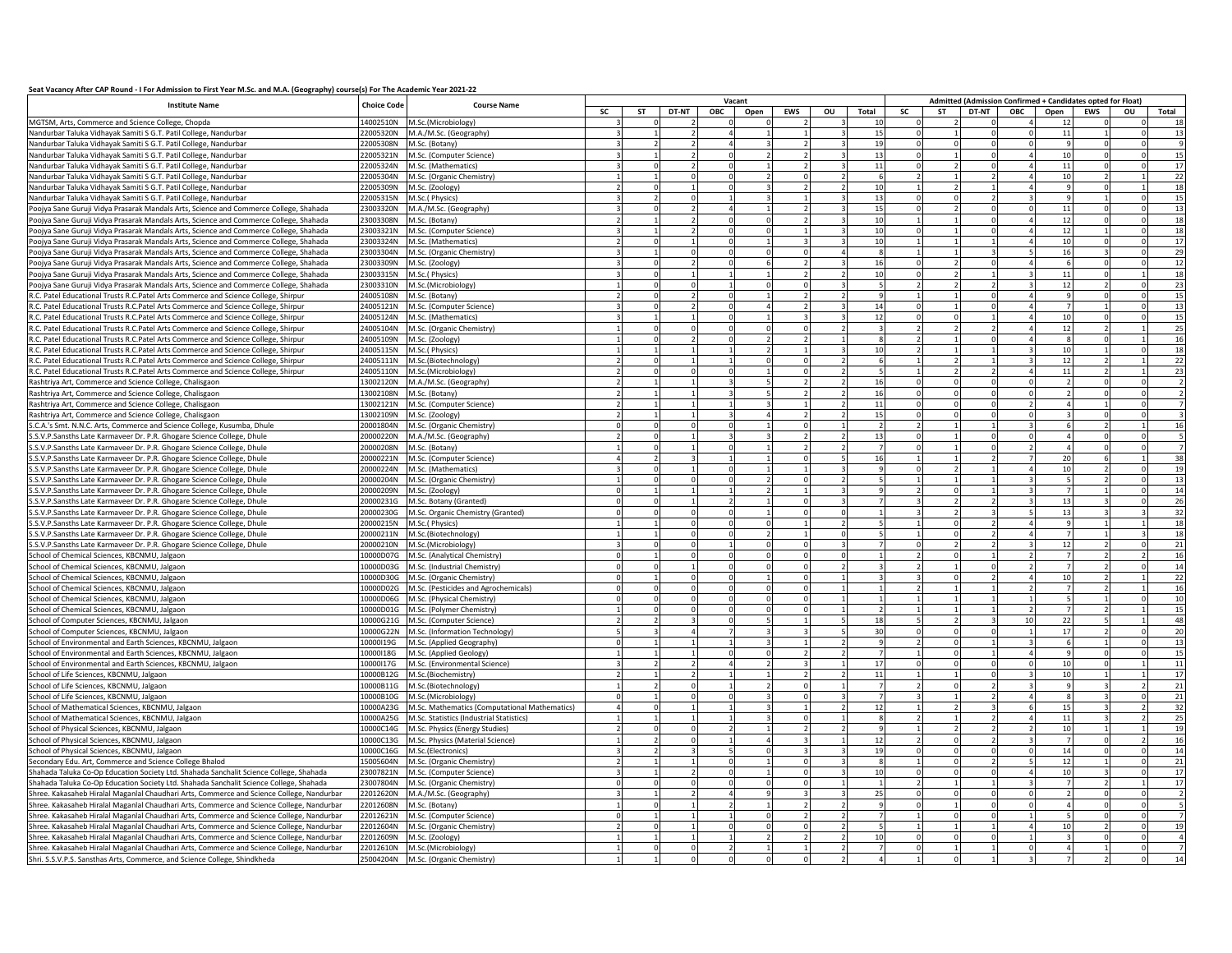## **Seat Vacancy After CAP Round - I For Admission to First Year M.Sc. and M.A. (Geography) course(s) For The Academic Year 2021-22**

|                                                                                           |                                          |                                               | Vacant    |          |              |              |            |          |       |                |                          |       |     |      |        | Admitted (Admission Confirmed + Candidates opted for Float) |              |    |
|-------------------------------------------------------------------------------------------|------------------------------------------|-----------------------------------------------|-----------|----------|--------------|--------------|------------|----------|-------|----------------|--------------------------|-------|-----|------|--------|-------------------------------------------------------------|--------------|----|
| <b>Institute Name</b>                                                                     | <b>Choice Code</b><br><b>Course Name</b> | <b>SC</b>                                     | <b>ST</b> | DT-NT    | ОВС          | Open         | <b>EWS</b> | ou       | Total | SC             | <b>ST</b>                | DT-NT | ОВС | Open | EWS    | ou                                                          | Total        |    |
| MGTSM, Arts, Commerce and Science College, Chopda                                         | 4002510N                                 | M.Sc.(Microbiology)                           |           |          |              |              |            |          |       | 10             |                          |       |     |      | 12     |                                                             |              | 11 |
| Nandurbar Taluka Vidhayak Samiti S G.T. Patil College, Nandurbar                          | 22005320N                                | M.A./M.Sc. (Geography)                        |           |          |              |              |            |          |       | 15             |                          |       |     |      | 11     |                                                             |              | 13 |
| Nandurbar Taluka Vidhayak Samiti S G.T. Patil College, Nandurbar                          | 22005308N                                | M.Sc. (Botany)                                |           |          |              |              |            |          |       | 19             |                          |       |     |      |        |                                                             |              |    |
| Nandurbar Taluka Vidhayak Samiti S G.T. Patil College, Nandurbar                          | 22005321N                                | M.Sc. (Computer Science)                      |           |          |              |              |            |          |       | 13             |                          |       |     |      | 10     |                                                             |              |    |
|                                                                                           |                                          |                                               |           |          |              |              |            |          |       |                |                          |       |     |      |        |                                                             |              | 15 |
| Nandurbar Taluka Vidhayak Samiti S G.T. Patil College, Nandurbar                          | 22005324N                                | M.Sc. (Mathematics)                           |           |          |              |              |            |          |       | 11             | $\Omega$                 |       |     |      | 11     |                                                             |              | 17 |
| Nandurbar Taluka Vidhayak Samiti S G.T. Patil College, Nandurbar                          | 22005304N                                | M.Sc. (Organic Chemistry)                     |           |          | $\Omega$     |              |            |          |       | 6              | $\overline{2}$           |       |     |      | 10     |                                                             |              | 22 |
| Nandurbar Taluka Vidhayak Samiti S G.T. Patil College, Nandurbar                          | 22005309N                                | M.Sc. (Zoology)                               |           |          | $\mathbf{1}$ | <sup>0</sup> |            |          |       | 10             |                          |       |     |      |        | $\Omega$                                                    |              | 18 |
| Nandurbar Taluka Vidhayak Samiti S G.T. Patil College, Nandurbar                          | 22005315N                                | M.Sc.(Physics)                                |           |          |              |              |            |          |       | 13             | $\Omega$                 |       |     |      |        |                                                             |              | 15 |
| Poojya Sane Guruji Vidya Prasarak Mandals Arts, Science and Commerce College, Shahada     | 23003320N                                | M.A./M.Sc. (Geography)                        |           |          |              |              |            |          |       | 15             | $\Omega$                 |       |     |      | 11     |                                                             |              | 13 |
| Poojya Sane Guruji Vidya Prasarak Mandals Arts, Science and Commerce College, Shahada     | 23003308N                                | M.Sc. (Botany)                                |           |          |              |              |            |          |       | 10             |                          |       |     |      | 12     |                                                             |              | 18 |
| Poojya Sane Guruji Vidya Prasarak Mandals Arts, Science and Commerce College, Shahada     | 23003321N                                | M.Sc. (Computer Science)                      |           |          |              |              |            |          |       | 10             |                          |       |     |      | $12\,$ |                                                             |              | 18 |
| Poojya Sane Guruji Vidya Prasarak Mandals Arts, Science and Commerce College, Shahada     | 23003324N                                | M.Sc. (Mathematics)                           |           |          |              |              |            |          |       | 10             |                          |       |     |      | $10\,$ |                                                             |              | 17 |
| Poojya Sane Guruji Vidya Prasarak Mandals Arts, Science and Commerce College, Shahada     | 23003304N                                | M.Sc. (Organic Chemistry)                     |           |          |              |              |            |          |       |                |                          |       |     |      | 16     |                                                             |              | 29 |
| Poojya Sane Guruji Vidya Prasarak Mandals Arts, Science and Commerce College, Shahada     | 23003309N                                | M.Sc. (Zoology)                               |           | $\Omega$ |              |              |            |          |       | 16             | $\Omega$                 |       |     |      | 6      | $\Omega$                                                    |              | 12 |
| Poojya Sane Guruji Vidya Prasarak Mandals Arts, Science and Commerce College, Shahada     | 23003315N                                | M.Sc.(Physics)                                |           |          |              |              |            |          |       | 10             | $\Omega$                 |       |     |      | 11     | $\Omega$                                                    |              | 18 |
|                                                                                           |                                          |                                               |           |          | $\Omega$     |              |            |          |       | 5              | $\overline{2}$           |       |     |      | 12     |                                                             | <sup>n</sup> | 23 |
| Poojya Sane Guruji Vidya Prasarak Mandals Arts, Science and Commerce College, Shahada     | 23003310N                                | M.Sc.(Microbiology                            |           |          |              |              |            |          |       |                |                          |       |     |      |        |                                                             | $\Omega$     |    |
| R.C. Patel Educational Trusts R.C.Patel Arts Commerce and Science College, Shirpur        | 24005108N                                | M.Sc. (Botany)                                |           |          |              |              |            |          |       | $\mathbf{q}$   |                          |       |     |      |        |                                                             |              | 15 |
| R.C. Patel Educational Trusts R.C.Patel Arts Commerce and Science College, Shirpur        | 24005121N                                | M.Sc. (Computer Science)                      |           |          |              |              |            |          |       | 14             |                          |       |     |      |        |                                                             |              | 13 |
| R.C. Patel Educational Trusts R.C.Patel Arts Commerce and Science College, Shirpur        | 24005124N                                | M.Sc. (Mathematics)                           |           |          |              |              |            |          |       | 12             |                          |       |     |      | 10     |                                                             |              | 15 |
| R.C. Patel Educational Trusts R.C.Patel Arts Commerce and Science College, Shirpur        | 24005104N                                | M.Sc. (Organic Chemistry)                     |           |          |              |              |            |          |       |                |                          |       |     |      | 12     |                                                             |              | 25 |
| R.C. Patel Educational Trusts R.C.Patel Arts Commerce and Science College, Shirpur        | 24005109N                                | M.Sc. (Zoology)                               |           |          |              |              |            |          |       | $\mathbf{R}$   |                          |       |     |      |        |                                                             |              | 16 |
| R.C. Patel Educational Trusts R.C.Patel Arts Commerce and Science College, Shirpur        | 24005115N                                | M.Sc.(Physics)                                |           |          |              |              |            |          |       | 10             |                          |       |     |      | 10     |                                                             |              | 18 |
| R.C. Patel Educational Trusts R.C.Patel Arts Commerce and Science College, Shirpur        | 24005111N                                | M.Sc.(Biotechnology)                          |           |          |              |              |            |          |       | 6              |                          |       |     |      | 12     |                                                             |              | 22 |
| R.C. Patel Educational Trusts R.C.Patel Arts Commerce and Science College, Shirpur        | 24005110N                                | M.Sc.(Microbiology)                           |           |          | $\Omega$     |              |            |          |       | $\overline{5}$ |                          |       |     |      | 11     |                                                             |              | 23 |
| Rashtriya Art, Commerce and Science College, Chalisgaon                                   | 13002120N                                | M.A./M.Sc. (Geography)                        |           |          |              |              |            |          |       | 16             | $\Omega$                 |       |     |      |        |                                                             |              |    |
|                                                                                           |                                          |                                               |           |          |              |              |            |          |       |                |                          |       |     |      |        | $\Omega$                                                    | O.           |    |
| Rashtriya Art, Commerce and Science College, Chalisgaon                                   | 13002108N                                | M.Sc. (Botany)                                |           |          |              |              |            |          |       | 16             | $\Omega$                 |       |     |      |        |                                                             |              |    |
| Rashtriya Art, Commerce and Science College, Chalisgaon                                   | 13002121N                                | M.Sc. (Computer Science)                      |           |          |              |              |            |          |       | 11             | $\Omega$                 |       |     |      |        |                                                             |              |    |
| Rashtriya Art, Commerce and Science College, Chalisgaon                                   | 3002109N                                 | M.Sc. (Zoology)                               |           |          |              |              |            |          |       | 15             | $\Omega$                 |       |     |      |        |                                                             |              |    |
| S.C.A.'s Smt. N.N.C. Arts, Commerce and Science College, Kusumba, Dhule                   | 20001804N                                | M.Sc. (Organic Chemistry)                     |           |          |              |              |            |          |       | $\overline{z}$ |                          |       |     |      |        |                                                             |              | 16 |
| S.S.V.P.Sansths Late Karmaveer Dr. P.R. Ghogare Science College, Dhule                    | 20000220N                                | M.A./M.Sc. (Geography)                        |           |          |              |              |            |          |       | 13             |                          |       |     |      |        |                                                             |              |    |
| S.S.V.P.Sansths Late Karmaveer Dr. P.R. Ghogare Science College, Dhule                    | 20000208N                                | M.Sc. (Botany)                                |           |          |              |              |            |          |       |                |                          |       |     |      |        |                                                             |              |    |
| S.S.V.P.Sansths Late Karmaveer Dr. P.R. Ghogare Science College, Dhule                    | 20000221N                                | M.Sc. (Computer Science)                      |           |          |              |              |            |          |       | 16             |                          |       |     |      | 20     |                                                             |              | 38 |
| S.S.V.P.Sansths Late Karmaveer Dr. P.R. Ghogare Science College, Dhule                    | 20000224N                                | M.Sc. (Mathematics)                           |           |          |              |              |            |          |       |                | $\Omega$                 |       |     |      | 10     |                                                             |              | 19 |
| S.S.V.P.Sansths Late Karmaveer Dr. P.R. Ghogare Science College, Dhule                    | 20000204N                                | M.Sc. (Organic Chemistry)                     |           |          |              |              |            |          |       |                |                          |       |     |      |        |                                                             |              | 13 |
| S.S.V.P.Sansths Late Karmaveer Dr. P.R. Ghogare Science College, Dhule                    | 20000209N                                | M.Sc. (Zoology)                               |           |          |              |              |            |          |       |                |                          |       |     |      |        |                                                             |              | 14 |
|                                                                                           |                                          |                                               |           |          |              |              |            |          |       |                |                          |       |     |      |        |                                                             |              |    |
| S.S.V.P.Sansths Late Karmaveer Dr. P.R. Ghogare Science College, Dhule                    | 20000231G                                | M.Sc. Botany (Granted)                        |           |          |              |              |            |          |       |                |                          |       |     |      | 13     |                                                             |              | 26 |
| S.S.V.P.Sansths Late Karmaveer Dr. P.R. Ghogare Science College, Dhule                    | 20000230G                                | M.Sc. Organic Chemistry (Granted)             |           |          |              |              |            |          |       |                |                          |       |     |      | 13     |                                                             |              | 32 |
| S.S.V.P.Sansths Late Karmaveer Dr. P.R. Ghogare Science College, Dhule                    | 20000215N                                | M.Sc.(Physics)                                |           |          |              |              |            |          |       |                |                          |       |     |      |        |                                                             |              | 18 |
| S.S.V.P.Sansths Late Karmaveer Dr. P.R. Ghogare Science College, Dhule                    | 20000211N                                | M.Sc.(Biotechnology)                          |           |          |              |              |            |          |       |                |                          |       |     |      |        |                                                             |              | 18 |
| S.S.V.P.Sansths Late Karmaveer Dr. P.R. Ghogare Science College, Dhule                    | 20000210N                                | M.Sc.(Microbiology)                           |           |          |              |              |            |          |       |                |                          |       |     |      | 12     |                                                             |              | 21 |
| School of Chemical Sciences, KBCNMU, Jalgaon                                              | 0000D07G                                 | M.Sc. (Analytical Chemistry)                  |           |          |              |              |            |          |       |                |                          |       |     |      |        |                                                             |              | 16 |
| School of Chemical Sciences, KBCNMU, Jalgaon                                              | 10000D03G                                | M.Sc. (Industrial Chemistry)                  |           |          |              |              |            |          |       |                |                          |       |     |      |        |                                                             |              | 14 |
| School of Chemical Sciences, KBCNMU, Jalgaon                                              | 10000D30G                                | M.Sc. (Organic Chemistry)                     |           |          | $\Omega$     |              |            |          |       |                |                          |       |     |      | 10     |                                                             |              | 22 |
| School of Chemical Sciences, KBCNMU, Jalgaon                                              | 10000D02G                                | M.Sc. (Pesticides and Agrochemicals)          |           | $\Omega$ | $\Omega$     | $\Omega$     |            | $\Omega$ |       | $\overline{1}$ | $\overline{2}$           |       |     |      |        |                                                             |              | 16 |
| School of Chemical Sciences, KBCNMU, Jalgaon                                              | 0000D06G                                 | M.Sc. (Physical Chemistry)                    |           |          | $\Omega$     |              |            |          |       |                |                          |       |     |      |        |                                                             | 0            | 10 |
| School of Chemical Sciences, KBCNMU, Jalgaon                                              | L0000D01G                                | M.Sc. (Polymer Chemistry)                     |           |          |              |              |            |          |       |                |                          |       |     |      |        |                                                             |              | 15 |
|                                                                                           |                                          |                                               |           |          |              |              |            |          |       |                |                          |       |     | 10   |        |                                                             |              |    |
| School of Computer Sciences, KBCNMU, Jalgaon                                              | .0000G21G                                | M.Sc. (Computer Science)                      |           |          |              |              |            |          |       | 18             |                          |       |     |      | 22     |                                                             |              | 48 |
| School of Computer Sciences, KBCNMU, Jalgaon                                              | 0000G22N                                 | M.Sc. (Information Technology)                |           |          |              |              |            |          |       | 30             | $\Omega$                 |       |     |      | 17     |                                                             |              | 20 |
| School of Environmental and Earth Sciences, KBCNMU, Jalgaon                               | 10000I19G                                | M.Sc. (Applied Geography)                     |           |          |              |              |            |          |       | $\alpha$       |                          |       |     |      | 6      |                                                             |              | 13 |
| School of Environmental and Earth Sciences, KBCNMU, Jalgaon                               | 10000118G                                | M.Sc. (Applied Geology)                       |           |          |              |              |            |          |       |                |                          |       |     |      |        |                                                             |              | 15 |
| School of Environmental and Earth Sciences, KBCNMU, Jalgaon                               | 10000117G                                | M.Sc. (Environmental Science)                 |           |          |              |              |            |          |       | 17             | $\Omega$                 |       |     |      | 10     |                                                             |              | 11 |
| School of Life Sciences, KBCNMU, Jalgaon                                                  | 10000B12G                                | M.Sc.(Biochemistry)                           |           |          |              |              |            |          |       | 11             |                          |       |     |      | 10     |                                                             |              | 17 |
| School of Life Sciences, KBCNMU, Jalgaon                                                  | 10000B11G                                | M.Sc.(Biotechnology)                          |           |          | $\Omega$     |              |            |          |       |                |                          |       |     |      |        |                                                             |              | 21 |
| School of Life Sciences, KBCNMU, Jalgaon                                                  | 10000B10G                                | M.Sc.(Microbiology)                           |           |          | $\Omega$     |              |            |          |       |                |                          |       |     |      |        |                                                             | O.           | 21 |
| School of Mathematical Sciences, KBCNMU, Jalgaon                                          | 10000A23G                                | M.Sc. Mathematics (Computational Mathematics) |           |          |              |              |            |          |       | 12             |                          |       |     |      | 15     |                                                             |              | 32 |
| School of Mathematical Sciences, KBCNMU, Jalgaon                                          | 10000A25G                                | M.Sc. Statistics (Industrial Statistics)      |           |          |              |              |            |          |       |                |                          |       |     |      | 11     |                                                             |              | 25 |
| School of Physical Sciences, KBCNMU, Jalgaon                                              | 10000C14G                                |                                               |           |          |              |              |            |          |       |                |                          |       |     |      | 10     |                                                             |              | 19 |
|                                                                                           |                                          | M.Sc. Physics (Energy Studies)                |           |          |              |              |            |          |       |                |                          |       |     |      |        |                                                             |              |    |
| School of Physical Sciences, KBCNMU, Jalgaon                                              | 10000C13G                                | M.Sc. Physics (Material Science)              |           |          |              |              |            |          |       | 12             |                          |       |     |      |        |                                                             |              | 16 |
| School of Physical Sciences, KBCNMU, Jalgaon                                              | 10000C16G                                | M.Sc.(Electronics)                            |           |          |              |              |            |          |       | 19             |                          |       |     |      | 14     |                                                             |              | 14 |
| Secondary Edu. Art, Commerce and Science College Bhalod                                   | L5005604N                                | M.Sc. (Organic Chemistry)                     |           |          |              |              |            |          |       |                |                          |       |     |      | 12     |                                                             |              | 21 |
| Shahada Taluka Co-Op Education Society Ltd. Shahada Sanchalit Science College, Shahada    | 23007821N                                | M.Sc. (Computer Science)                      |           |          |              |              |            |          |       | 10             | $\Omega$                 |       |     |      | 10     |                                                             |              | 17 |
| Shahada Taluka Co-Op Education Society Ltd. Shahada Sanchalit Science College, Shahada    | 23007804N                                | M.Sc. (Organic Chemistry)                     |           |          | $\Omega$     |              |            |          |       | $\overline{1}$ | $\overline{\phantom{a}}$ |       |     |      |        |                                                             |              | 17 |
| Shree. Kakasaheb Hiralal Maganlal Chaudhari Arts, Commerce and Science College, Nandurbar | 22012620N                                | M.A./M.Sc. (Geography)                        |           |          |              |              |            |          |       | 25             | $\Omega$                 |       |     |      |        | $\Omega$                                                    |              |    |
| Shree. Kakasaheb Hiralal Maganlal Chaudhari Arts, Commerce and Science College, Nandurbar | 22012608N                                | M.Sc. (Botany)                                |           |          |              |              |            |          |       |                | $\Omega$                 |       |     |      |        |                                                             |              |    |
| Shree. Kakasaheb Hiralal Maganlal Chaudhari Arts, Commerce and Science College, Nandurbar | 22012621N                                | M.Sc. (Computer Science)                      |           |          |              |              |            |          |       |                |                          |       |     |      |        |                                                             |              |    |
| Shree. Kakasaheb Hiralal Maganlal Chaudhari Arts, Commerce and Science College, Nandurbar | 22012604N                                | M.Sc. (Organic Chemistry)                     |           |          |              |              |            |          |       |                |                          |       |     |      | 10     |                                                             |              | 19 |
|                                                                                           |                                          |                                               |           |          |              |              |            |          |       | 10             |                          |       |     |      |        |                                                             |              |    |
| Shree. Kakasaheb Hiralal Maganlal Chaudhari Arts, Commerce and Science College, Nandurbar | 22012609N                                | M.Sc. (Zoology)                               |           |          |              |              |            |          |       |                |                          |       |     |      |        |                                                             |              |    |
| Shree. Kakasaheb Hiralal Maganlal Chaudhari Arts, Commerce and Science College, Nandurbar | 22012610N                                | M.Sc.(Microbiology)                           |           |          |              |              |            |          |       |                |                          |       |     |      |        |                                                             |              |    |
| Shri. S.S.V.P.S. Sansthas Arts, Commerce, and Science College, Shindkheda                 | 25004204N                                | M.Sc. (Organic Chemistry)                     |           |          |              |              |            |          |       |                |                          |       |     |      |        |                                                             |              |    |